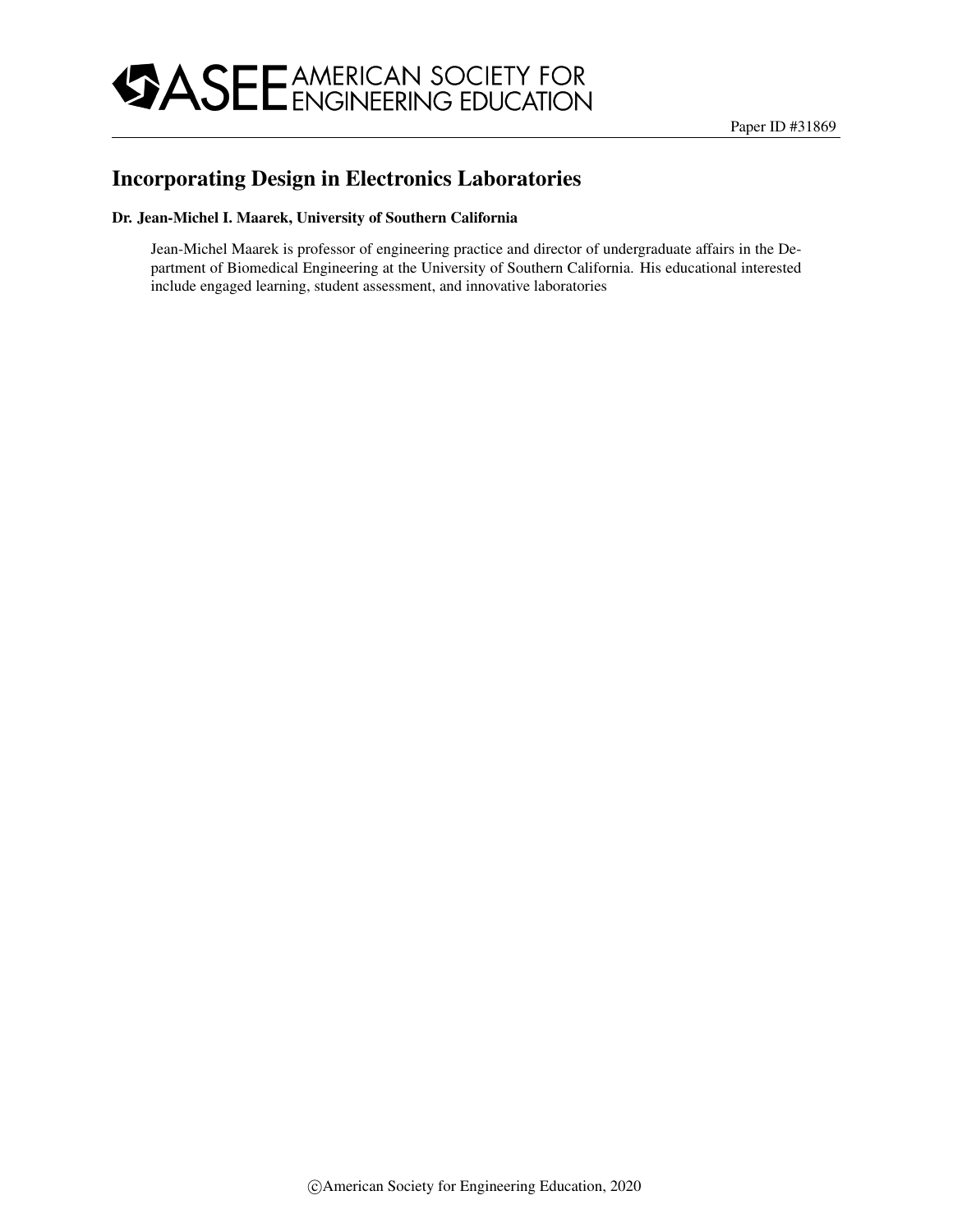

# Incorporating Design in Electronics Laboratories

#### Dr. Jean-Michel I. Maarek, University of Southern California

Jean-Michel Maarek is professor of engineering practice and director of undergraduate affairs in the Department of Biomedical Engineering at the University of Southern California. His educational interested include engaged learning, student assessment, and innovative laboratories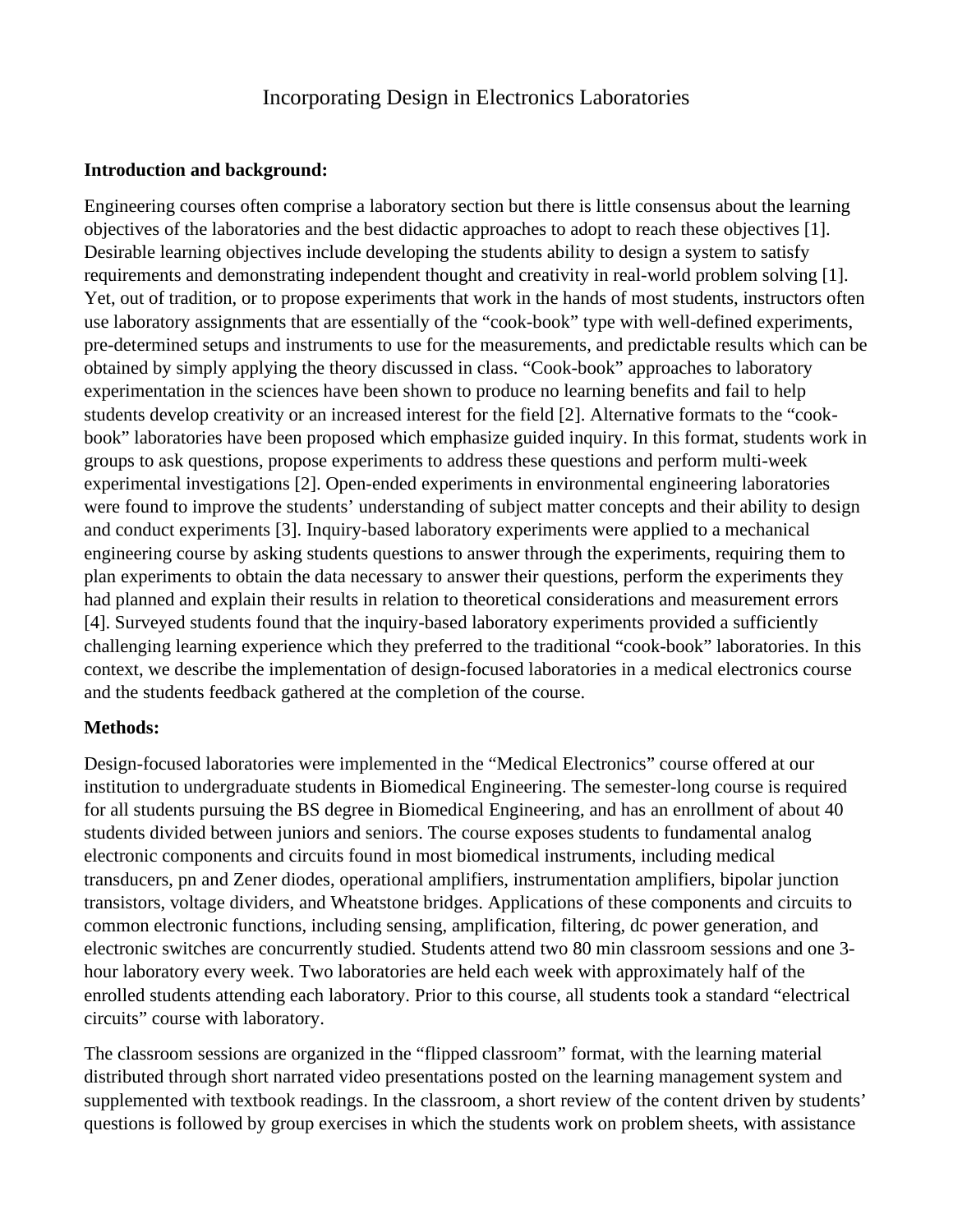# Incorporating Design in Electronics Laboratories

### **Introduction and background:**

Engineering courses often comprise a laboratory section but there is little consensus about the learning objectives of the laboratories and the best didactic approaches to adopt to reach these objectives [1]. Desirable learning objectives include developing the students ability to design a system to satisfy requirements and demonstrating independent thought and creativity in real-world problem solving [1]. Yet, out of tradition, or to propose experiments that work in the hands of most students, instructors often use laboratory assignments that are essentially of the "cook-book" type with well-defined experiments, pre-determined setups and instruments to use for the measurements, and predictable results which can be obtained by simply applying the theory discussed in class. "Cook-book" approaches to laboratory experimentation in the sciences have been shown to produce no learning benefits and fail to help students develop creativity or an increased interest for the field [2]. Alternative formats to the "cookbook" laboratories have been proposed which emphasize guided inquiry. In this format, students work in groups to ask questions, propose experiments to address these questions and perform multi-week experimental investigations [2]. Open-ended experiments in environmental engineering laboratories were found to improve the students' understanding of subject matter concepts and their ability to design and conduct experiments [3]. Inquiry-based laboratory experiments were applied to a mechanical engineering course by asking students questions to answer through the experiments, requiring them to plan experiments to obtain the data necessary to answer their questions, perform the experiments they had planned and explain their results in relation to theoretical considerations and measurement errors [4]. Surveyed students found that the inquiry-based laboratory experiments provided a sufficiently challenging learning experience which they preferred to the traditional "cook-book" laboratories. In this context, we describe the implementation of design-focused laboratories in a medical electronics course and the students feedback gathered at the completion of the course.

### **Methods:**

Design-focused laboratories were implemented in the "Medical Electronics" course offered at our institution to undergraduate students in Biomedical Engineering. The semester-long course is required for all students pursuing the BS degree in Biomedical Engineering, and has an enrollment of about 40 students divided between juniors and seniors. The course exposes students to fundamental analog electronic components and circuits found in most biomedical instruments, including medical transducers, pn and Zener diodes, operational amplifiers, instrumentation amplifiers, bipolar junction transistors, voltage dividers, and Wheatstone bridges. Applications of these components and circuits to common electronic functions, including sensing, amplification, filtering, dc power generation, and electronic switches are concurrently studied. Students attend two 80 min classroom sessions and one 3 hour laboratory every week. Two laboratories are held each week with approximately half of the enrolled students attending each laboratory. Prior to this course, all students took a standard "electrical circuits" course with laboratory.

The classroom sessions are organized in the "flipped classroom" format, with the learning material distributed through short narrated video presentations posted on the learning management system and supplemented with textbook readings. In the classroom, a short review of the content driven by students' questions is followed by group exercises in which the students work on problem sheets, with assistance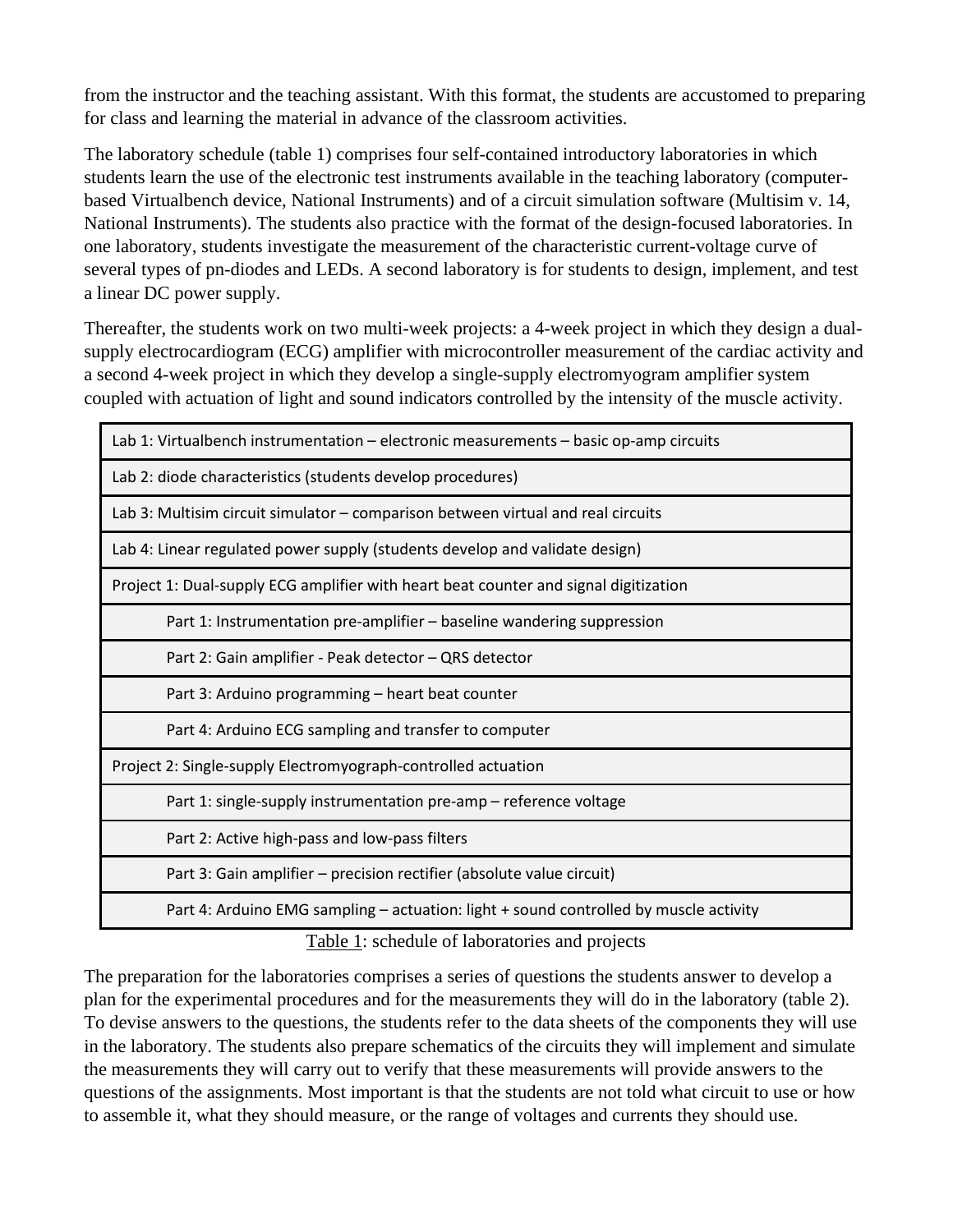from the instructor and the teaching assistant. With this format, the students are accustomed to preparing for class and learning the material in advance of the classroom activities.

The laboratory schedule (table 1) comprises four self-contained introductory laboratories in which students learn the use of the electronic test instruments available in the teaching laboratory (computerbased Virtualbench device, National Instruments) and of a circuit simulation software (Multisim v. 14, National Instruments). The students also practice with the format of the design-focused laboratories. In one laboratory, students investigate the measurement of the characteristic current-voltage curve of several types of pn-diodes and LEDs. A second laboratory is for students to design, implement, and test a linear DC power supply.

Thereafter, the students work on two multi-week projects: a 4-week project in which they design a dualsupply electrocardiogram (ECG) amplifier with microcontroller measurement of the cardiac activity and a second 4-week project in which they develop a single-supply electromyogram amplifier system coupled with actuation of light and sound indicators controlled by the intensity of the muscle activity.

| Lab 1: Virtualbench instrumentation - electronic measurements - basic op-amp circuits |  |  |
|---------------------------------------------------------------------------------------|--|--|
| Lab 2: diode characteristics (students develop procedures)                            |  |  |
| Lab 3: Multisim circuit simulator – comparison between virtual and real circuits      |  |  |
| Lab 4: Linear regulated power supply (students develop and validate design)           |  |  |
| Project 1: Dual-supply ECG amplifier with heart beat counter and signal digitization  |  |  |
| Part 1: Instrumentation pre-amplifier – baseline wandering suppression                |  |  |
| Part 2: Gain amplifier - Peak detector - QRS detector                                 |  |  |
| Part 3: Arduino programming - heart beat counter                                      |  |  |
| Part 4: Arduino ECG sampling and transfer to computer                                 |  |  |
| Project 2: Single-supply Electromyograph-controlled actuation                         |  |  |
| Part 1: single-supply instrumentation pre-amp - reference voltage                     |  |  |
| Part 2: Active high-pass and low-pass filters                                         |  |  |
| Part 3: Gain amplifier - precision rectifier (absolute value circuit)                 |  |  |
| Part 4: Arduino EMG sampling – actuation: light + sound controlled by muscle activity |  |  |

Table 1: schedule of laboratories and projects

The preparation for the laboratories comprises a series of questions the students answer to develop a plan for the experimental procedures and for the measurements they will do in the laboratory (table 2). To devise answers to the questions, the students refer to the data sheets of the components they will use in the laboratory. The students also prepare schematics of the circuits they will implement and simulate the measurements they will carry out to verify that these measurements will provide answers to the questions of the assignments. Most important is that the students are not told what circuit to use or how to assemble it, what they should measure, or the range of voltages and currents they should use.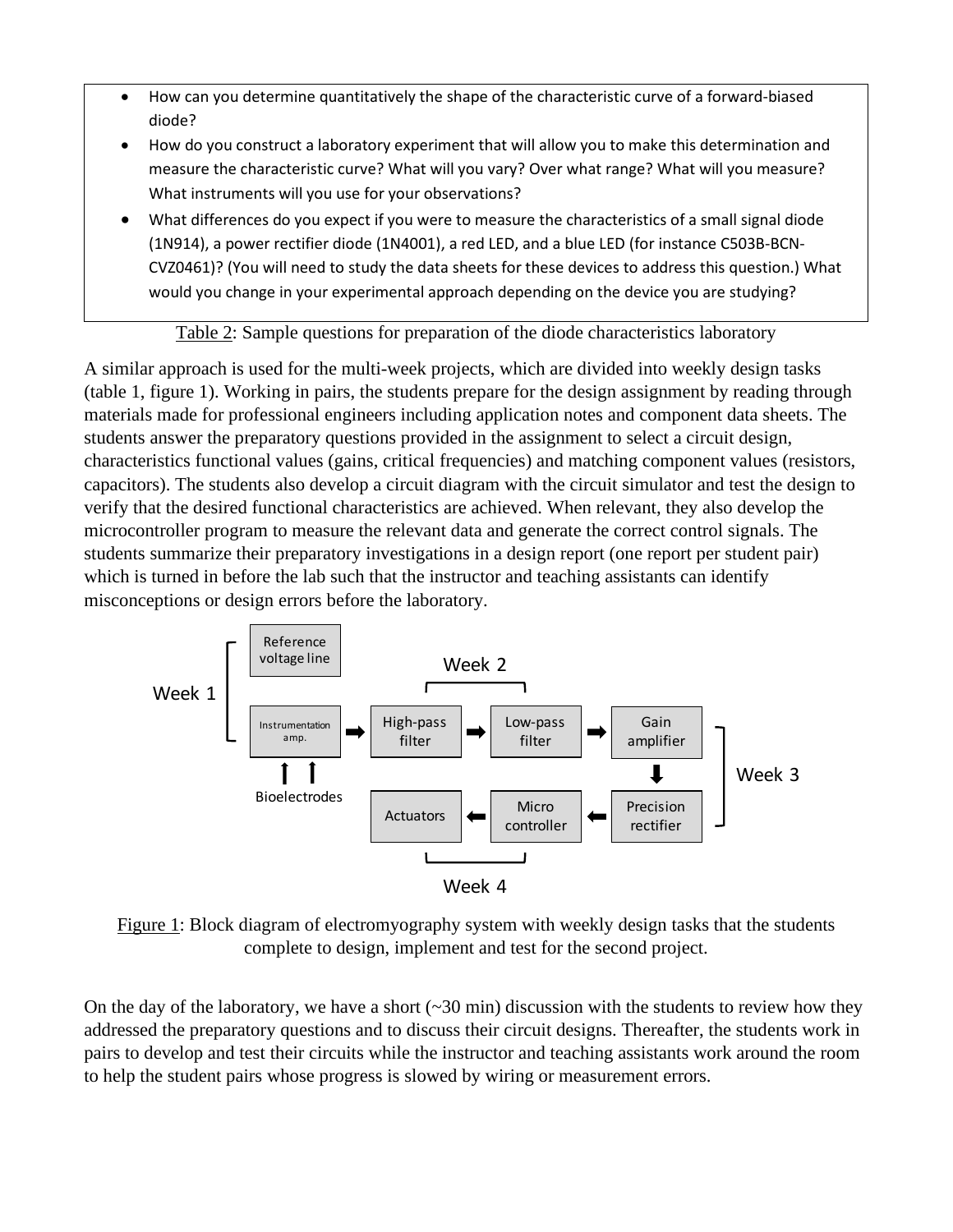- How can you determine quantitatively the shape of the characteristic curve of a forward-biased diode?
- How do you construct a laboratory experiment that will allow you to make this determination and measure the characteristic curve? What will you vary? Over what range? What will you measure? What instruments will you use for your observations?
- What differences do you expect if you were to measure the characteristics of a small signal diode (1N914), a power rectifier diode (1N4001), a red LED, and a blue LED (for instance C503B-BCN-CVZ0461)? (You will need to study the data sheets for these devices to address this question.) What would you change in your experimental approach depending on the device you are studying?

Table 2: Sample questions for preparation of the diode characteristics laboratory

A similar approach is used for the multi-week projects, which are divided into weekly design tasks (table 1, figure 1). Working in pairs, the students prepare for the design assignment by reading through materials made for professional engineers including application notes and component data sheets. The students answer the preparatory questions provided in the assignment to select a circuit design, characteristics functional values (gains, critical frequencies) and matching component values (resistors, capacitors). The students also develop a circuit diagram with the circuit simulator and test the design to verify that the desired functional characteristics are achieved. When relevant, they also develop the microcontroller program to measure the relevant data and generate the correct control signals. The students summarize their preparatory investigations in a design report (one report per student pair) which is turned in before the lab such that the instructor and teaching assistants can identify misconceptions or design errors before the laboratory.



Figure 1: Block diagram of electromyography system with weekly design tasks that the students complete to design, implement and test for the second project.

On the day of the laboratory, we have a short  $(\sim 30 \text{ min})$  discussion with the students to review how they addressed the preparatory questions and to discuss their circuit designs. Thereafter, the students work in pairs to develop and test their circuits while the instructor and teaching assistants work around the room to help the student pairs whose progress is slowed by wiring or measurement errors.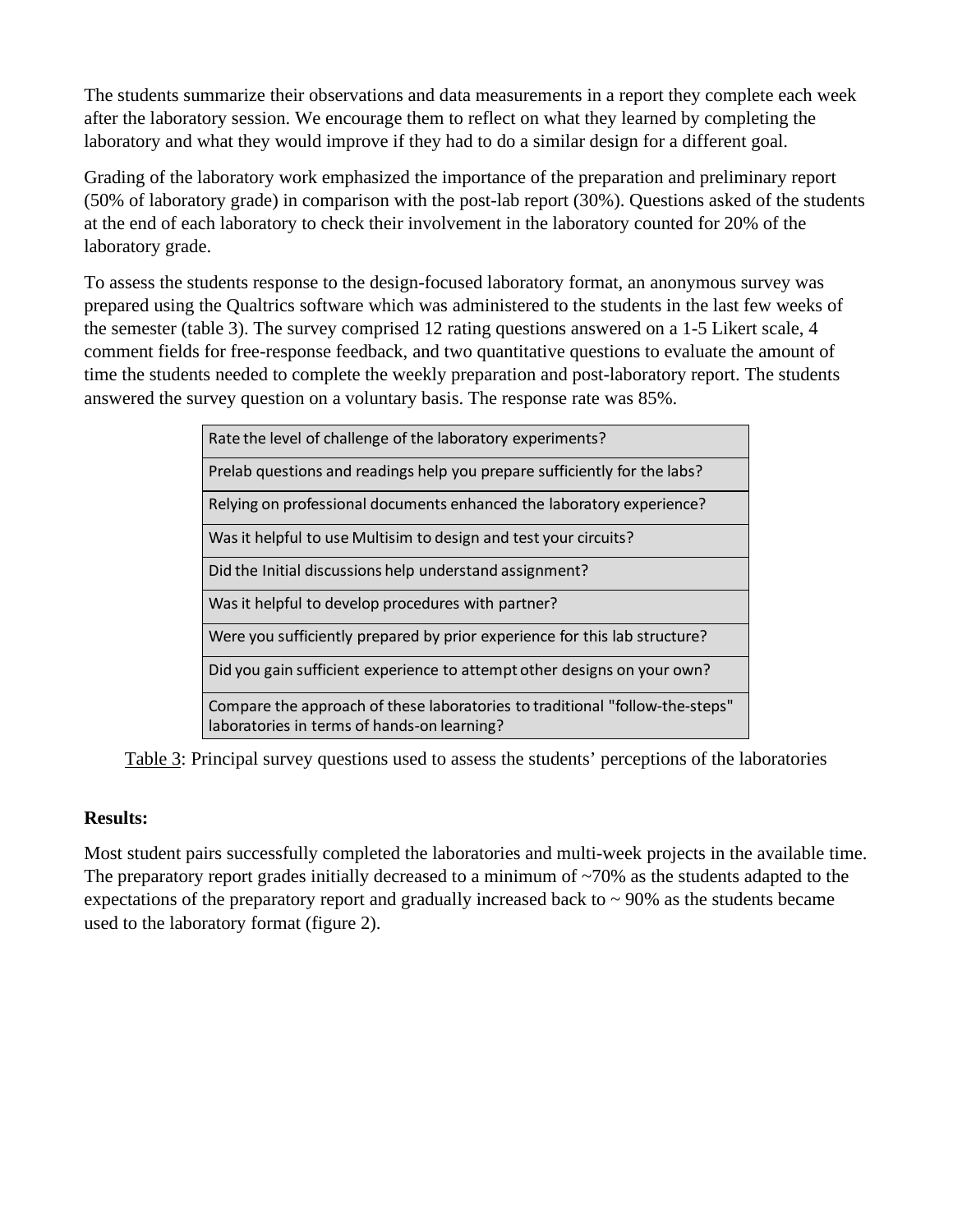The students summarize their observations and data measurements in a report they complete each week after the laboratory session. We encourage them to reflect on what they learned by completing the laboratory and what they would improve if they had to do a similar design for a different goal.

Grading of the laboratory work emphasized the importance of the preparation and preliminary report (50% of laboratory grade) in comparison with the post-lab report (30%). Questions asked of the students at the end of each laboratory to check their involvement in the laboratory counted for 20% of the laboratory grade.

To assess the students response to the design-focused laboratory format, an anonymous survey was prepared using the Qualtrics software which was administered to the students in the last few weeks of the semester (table 3). The survey comprised 12 rating questions answered on a 1-5 Likert scale, 4 comment fields for free-response feedback, and two quantitative questions to evaluate the amount of time the students needed to complete the weekly preparation and post-laboratory report. The students answered the survey question on a voluntary basis. The response rate was 85%.

| Rate the level of challenge of the laboratory experiments?                                                                  |
|-----------------------------------------------------------------------------------------------------------------------------|
| Prelab questions and readings help you prepare sufficiently for the labs?                                                   |
| Relying on professional documents enhanced the laboratory experience?                                                       |
| Was it helpful to use Multisim to design and test your circuits?                                                            |
| Did the Initial discussions help understand assignment?                                                                     |
| Was it helpful to develop procedures with partner?                                                                          |
| Were you sufficiently prepared by prior experience for this lab structure?                                                  |
| Did you gain sufficient experience to attempt other designs on your own?                                                    |
| Compare the approach of these laboratories to traditional "follow-the-steps"<br>laboratories in terms of hands-on learning? |

Table 3: Principal survey questions used to assess the students' perceptions of the laboratories

# **Results:**

Most student pairs successfully completed the laboratories and multi-week projects in the available time. The preparatory report grades initially decreased to a minimum of  $\sim$ 70% as the students adapted to the expectations of the preparatory report and gradually increased back to  $\sim$  90% as the students became used to the laboratory format (figure 2).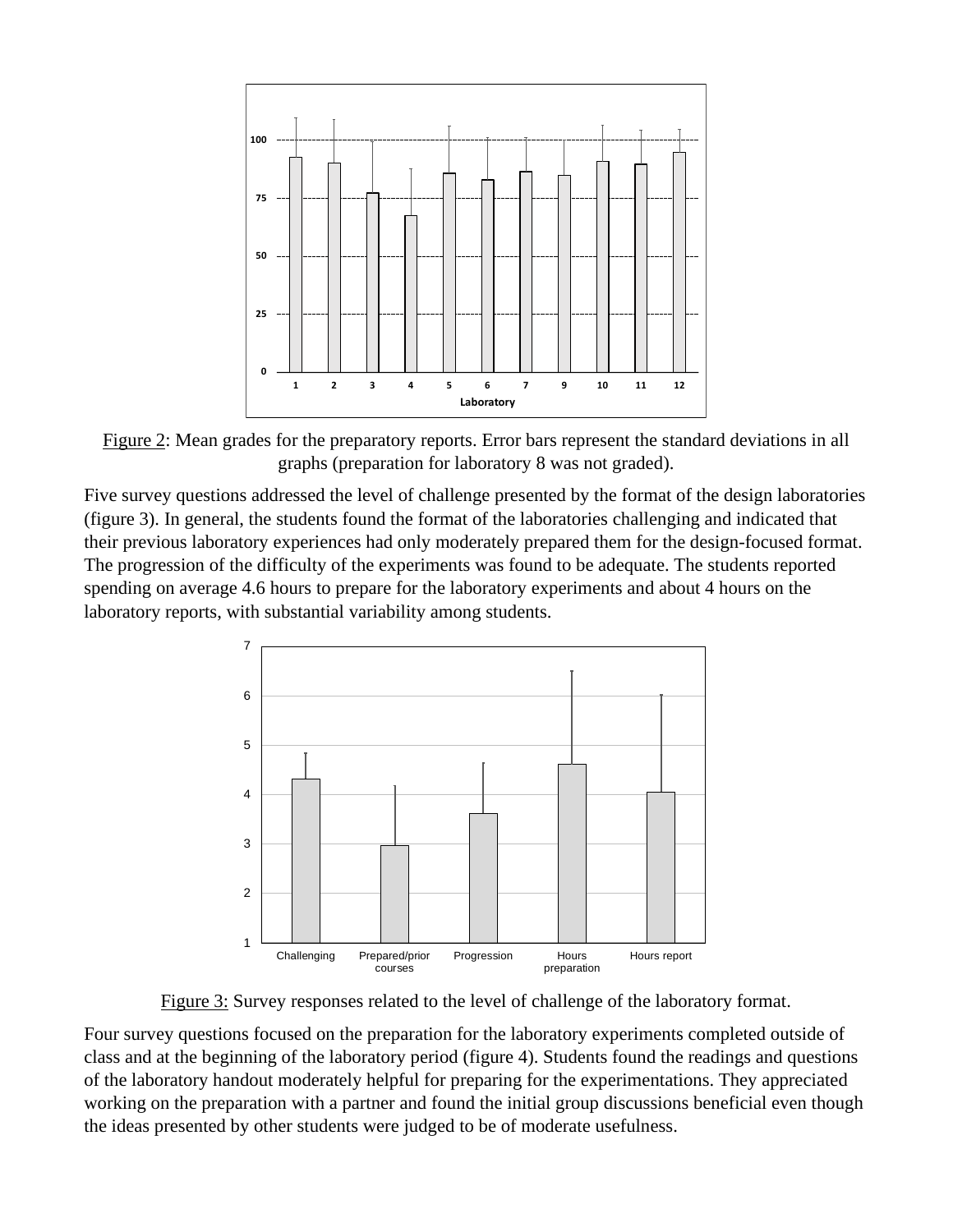

Figure 2: Mean grades for the preparatory reports. Error bars represent the standard deviations in all graphs (preparation for laboratory 8 was not graded).

Five survey questions addressed the level of challenge presented by the format of the design laboratories (figure 3). In general, the students found the format of the laboratories challenging and indicated that their previous laboratory experiences had only moderately prepared them for the design-focused format. The progression of the difficulty of the experiments was found to be adequate. The students reported spending on average 4.6 hours to prepare for the laboratory experiments and about 4 hours on the laboratory reports, with substantial variability among students.



Figure 3: Survey responses related to the level of challenge of the laboratory format.

Four survey questions focused on the preparation for the laboratory experiments completed outside of class and at the beginning of the laboratory period (figure 4). Students found the readings and questions of the laboratory handout moderately helpful for preparing for the experimentations. They appreciated working on the preparation with a partner and found the initial group discussions beneficial even though the ideas presented by other students were judged to be of moderate usefulness.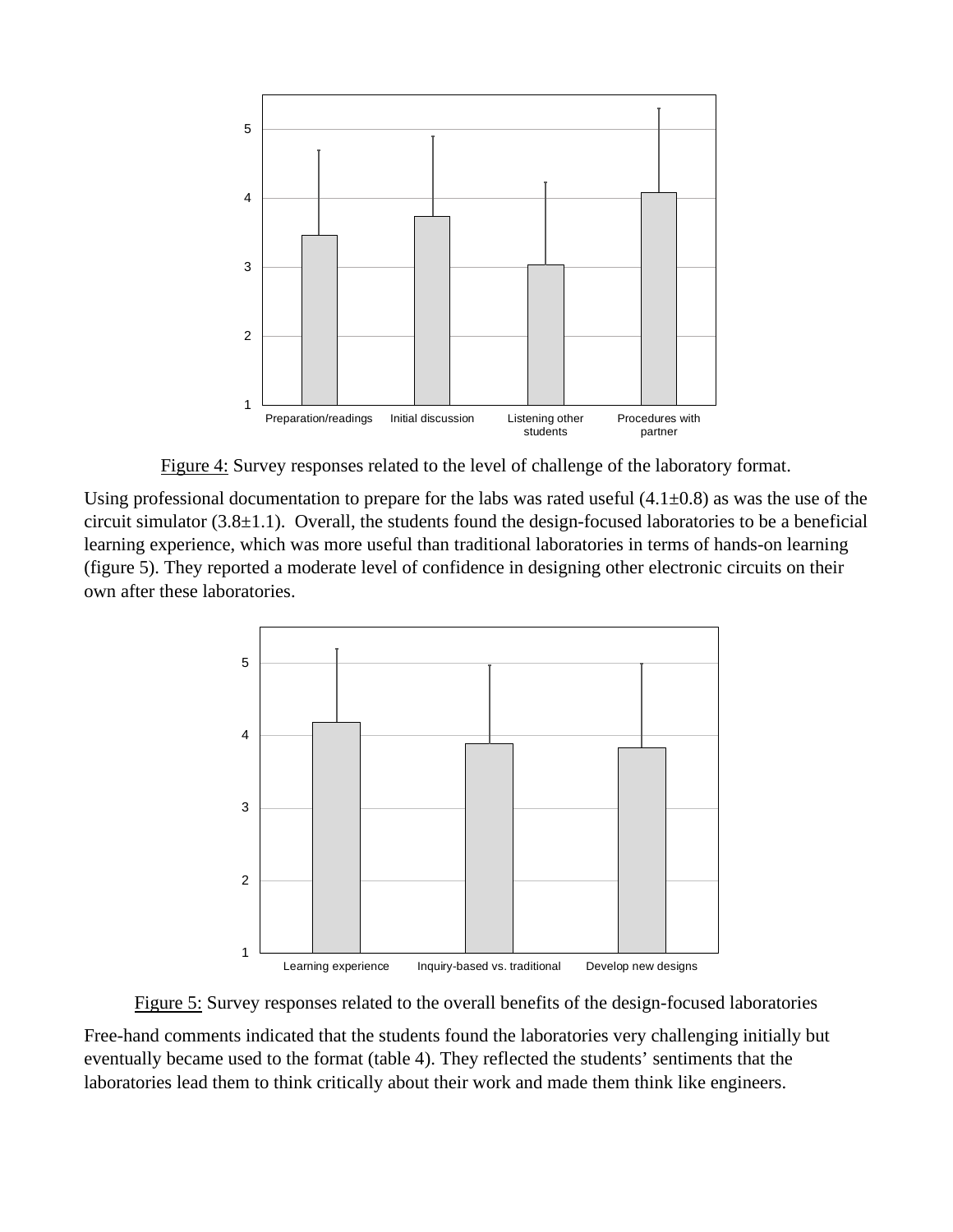

Figure 4: Survey responses related to the level of challenge of the laboratory format.

Using professional documentation to prepare for the labs was rated useful  $(4.1\pm0.8)$  as was the use of the circuit simulator  $(3.8\pm1.1)$ . Overall, the students found the design-focused laboratories to be a beneficial learning experience, which was more useful than traditional laboratories in terms of hands-on learning (figure 5). They reported a moderate level of confidence in designing other electronic circuits on their own after these laboratories.



Figure 5: Survey responses related to the overall benefits of the design-focused laboratories

Free-hand comments indicated that the students found the laboratories very challenging initially but eventually became used to the format (table 4). They reflected the students' sentiments that the laboratories lead them to think critically about their work and made them think like engineers.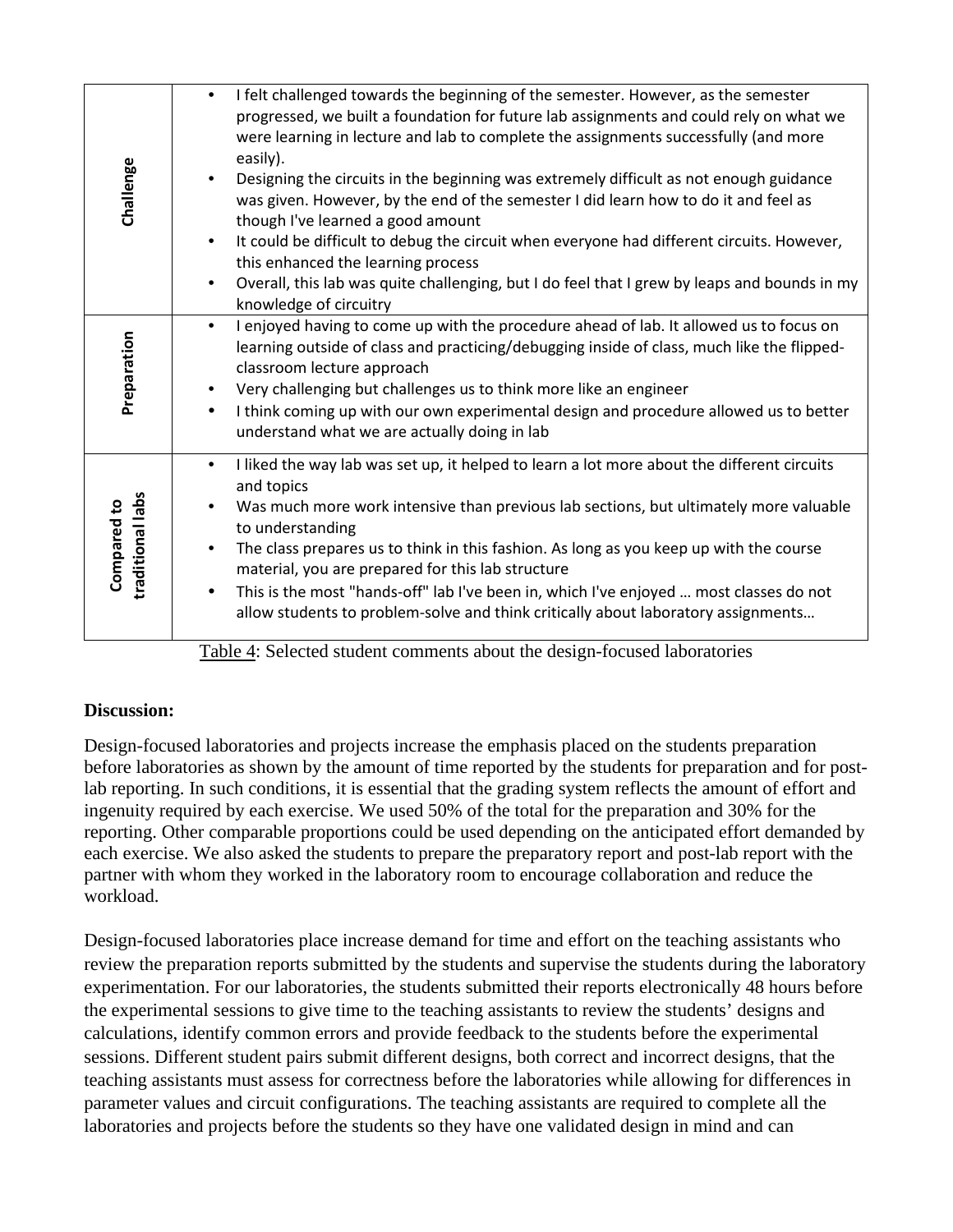| Challenge                       | I felt challenged towards the beginning of the semester. However, as the semester<br>$\bullet$<br>progressed, we built a foundation for future lab assignments and could rely on what we<br>were learning in lecture and lab to complete the assignments successfully (and more<br>easily).<br>Designing the circuits in the beginning was extremely difficult as not enough guidance<br>was given. However, by the end of the semester I did learn how to do it and feel as<br>though I've learned a good amount<br>It could be difficult to debug the circuit when everyone had different circuits. However,<br>٠<br>this enhanced the learning process<br>Overall, this lab was quite challenging, but I do feel that I grew by leaps and bounds in my<br>$\bullet$<br>knowledge of circuitry                                                                                                                                                                                   |
|---------------------------------|------------------------------------------------------------------------------------------------------------------------------------------------------------------------------------------------------------------------------------------------------------------------------------------------------------------------------------------------------------------------------------------------------------------------------------------------------------------------------------------------------------------------------------------------------------------------------------------------------------------------------------------------------------------------------------------------------------------------------------------------------------------------------------------------------------------------------------------------------------------------------------------------------------------------------------------------------------------------------------|
| Preparation                     | I enjoyed having to come up with the procedure ahead of lab. It allowed us to focus on<br>$\bullet$<br>learning outside of class and practicing/debugging inside of class, much like the flipped-<br>classroom lecture approach<br>Very challenging but challenges us to think more like an engineer<br>٠<br>I think coming up with our own experimental design and procedure allowed us to better<br>$\bullet$<br>understand what we are actually doing in lab                                                                                                                                                                                                                                                                                                                                                                                                                                                                                                                    |
| traditional labs<br>Compared to | I liked the way lab was set up, it helped to learn a lot more about the different circuits<br>$\bullet$<br>and topics<br>Was much more work intensive than previous lab sections, but ultimately more valuable<br>to understanding<br>The class prepares us to think in this fashion. As long as you keep up with the course<br>material, you are prepared for this lab structure<br>This is the most "hands-off" lab I've been in, which I've enjoyed  most classes do not<br>allow students to problem-solve and think critically about laboratory assignments                                                                                                                                                                                                                                                                                                                                                                                                                   |
| Discussion:<br>workload.        | Table 4: Selected student comments about the design-focused laboratories<br>Design-focused laboratories and projects increase the emphasis placed on the students preparation<br>before laboratories as shown by the amount of time reported by the students for preparation and for post-<br>lab reporting. In such conditions, it is essential that the grading system reflects the amount of effort and<br>ingenuity required by each exercise. We used 50% of the total for the preparation and 30% for the<br>reporting. Other comparable proportions could be used depending on the anticipated effort demanded by<br>each exercise. We also asked the students to prepare the preparatory report and post-lab report with the<br>partner with whom they worked in the laboratory room to encourage collaboration and reduce the                                                                                                                                             |
|                                 | Design-focused laboratories place increase demand for time and effort on the teaching assistants who<br>review the preparation reports submitted by the students and supervise the students during the laboratory<br>experimentation. For our laboratories, the students submitted their reports electronically 48 hours before<br>the experimental sessions to give time to the teaching assistants to review the students' designs and<br>calculations, identify common errors and provide feedback to the students before the experimental<br>sessions. Different student pairs submit different designs, both correct and incorrect designs, that the<br>teaching assistants must assess for correctness before the laboratories while allowing for differences in<br>parameter values and circuit configurations. The teaching assistants are required to complete all the<br>laboratories and projects before the students so they have one validated design in mind and can |

# **Discussion:**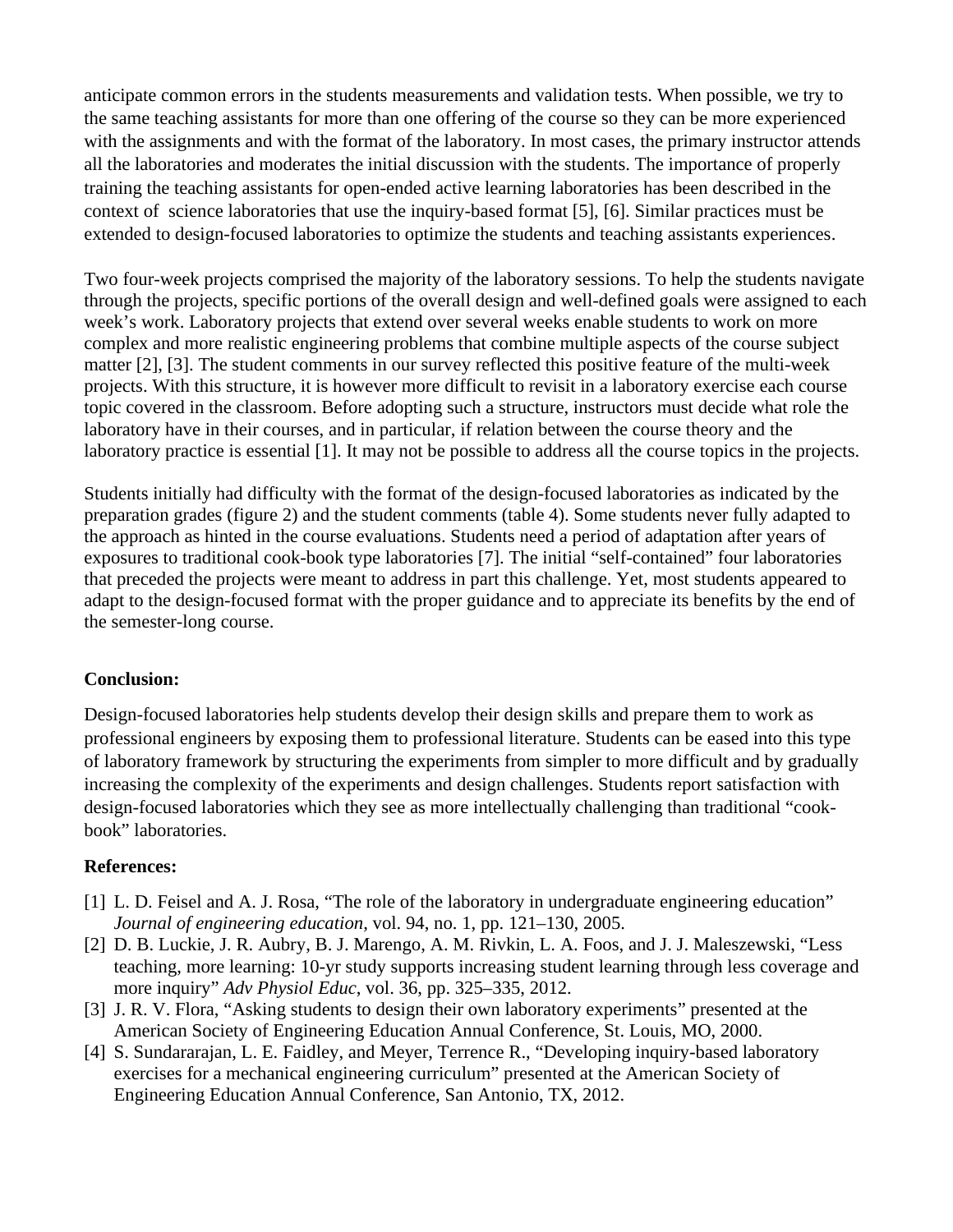anticipate common errors in the students measurements and validation tests. When possible, we try to the same teaching assistants for more than one offering of the course so they can be more experienced with the assignments and with the format of the laboratory. In most cases, the primary instructor attends all the laboratories and moderates the initial discussion with the students. The importance of properly training the teaching assistants for open-ended active learning laboratories has been described in the context of science laboratories that use the inquiry-based format [5], [6]. Similar practices must be extended to design-focused laboratories to optimize the students and teaching assistants experiences.

Two four-week projects comprised the majority of the laboratory sessions. To help the students navigate through the projects, specific portions of the overall design and well-defined goals were assigned to each week's work. Laboratory projects that extend over several weeks enable students to work on more complex and more realistic engineering problems that combine multiple aspects of the course subject matter [2], [3]. The student comments in our survey reflected this positive feature of the multi-week projects. With this structure, it is however more difficult to revisit in a laboratory exercise each course topic covered in the classroom. Before adopting such a structure, instructors must decide what role the laboratory have in their courses, and in particular, if relation between the course theory and the laboratory practice is essential [1]. It may not be possible to address all the course topics in the projects.

Students initially had difficulty with the format of the design-focused laboratories as indicated by the preparation grades (figure 2) and the student comments (table 4). Some students never fully adapted to the approach as hinted in the course evaluations. Students need a period of adaptation after years of exposures to traditional cook-book type laboratories [7]. The initial "self-contained" four laboratories that preceded the projects were meant to address in part this challenge. Yet, most students appeared to adapt to the design-focused format with the proper guidance and to appreciate its benefits by the end of the semester-long course.

# **Conclusion:**

Design-focused laboratories help students develop their design skills and prepare them to work as professional engineers by exposing them to professional literature. Students can be eased into this type of laboratory framework by structuring the experiments from simpler to more difficult and by gradually increasing the complexity of the experiments and design challenges. Students report satisfaction with design-focused laboratories which they see as more intellectually challenging than traditional "cookbook" laboratories.

# **References:**

- [1] L. D. Feisel and A. J. Rosa, "The role of the laboratory in undergraduate engineering education" *Journal of engineering education*, vol. 94, no. 1, pp. 121–130, 2005.
- [2] D. B. Luckie, J. R. Aubry, B. J. Marengo, A. M. Rivkin, L. A. Foos, and J. J. Maleszewski, "Less teaching, more learning: 10-yr study supports increasing student learning through less coverage and more inquiry" *Adv Physiol Educ*, vol. 36, pp. 325–335, 2012.
- [3] J. R. V. Flora, "Asking students to design their own laboratory experiments" presented at the American Society of Engineering Education Annual Conference, St. Louis, MO, 2000.
- [4] S. Sundararajan, L. E. Faidley, and Meyer, Terrence R., "Developing inquiry-based laboratory exercises for a mechanical engineering curriculum" presented at the American Society of Engineering Education Annual Conference, San Antonio, TX, 2012.